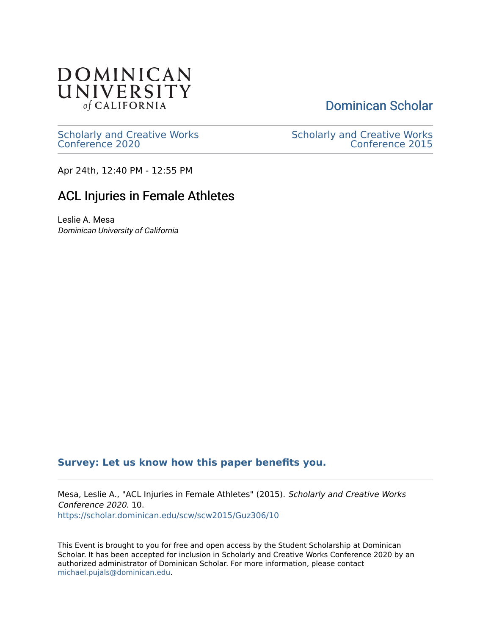

[Dominican Scholar](https://scholar.dominican.edu/) 

[Scholarly and Creative Works](https://scholar.dominican.edu/scw) [Conference 2020](https://scholar.dominican.edu/scw) 

[Scholarly and Creative Works](https://scholar.dominican.edu/scw/scw2015)  [Conference 2015](https://scholar.dominican.edu/scw/scw2015) 

Apr 24th, 12:40 PM - 12:55 PM

## ACL Injuries in Female Athletes

Leslie A. Mesa Dominican University of California

## **[Survey: Let us know how this paper benefits you.](https://dominican.libwizard.com/dominican-scholar-feedback)**

Mesa, Leslie A., "ACL Injuries in Female Athletes" (2015). Scholarly and Creative Works Conference 2020. 10. [https://scholar.dominican.edu/scw/scw2015/Guz306/10](https://scholar.dominican.edu/scw/scw2015/Guz306/10?utm_source=scholar.dominican.edu%2Fscw%2Fscw2015%2FGuz306%2F10&utm_medium=PDF&utm_campaign=PDFCoverPages) 

This Event is brought to you for free and open access by the Student Scholarship at Dominican Scholar. It has been accepted for inclusion in Scholarly and Creative Works Conference 2020 by an authorized administrator of Dominican Scholar. For more information, please contact [michael.pujals@dominican.edu.](mailto:michael.pujals@dominican.edu)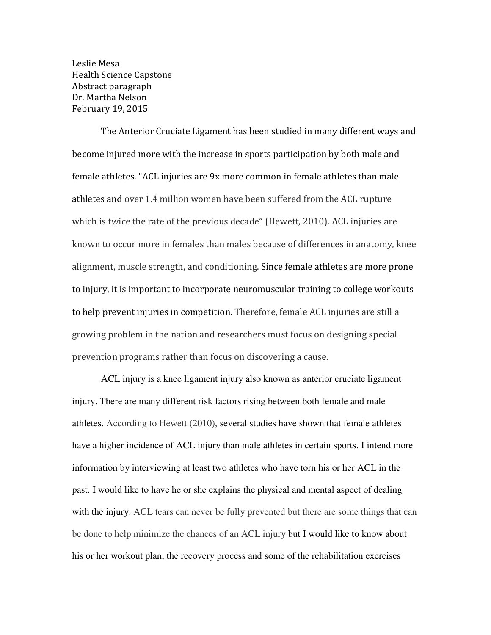Leslie Mesa Health Science Capstone Abstract paragraph Dr. Martha Nelson February 19, 2015

The Anterior Cruciate Ligament has been studied in many different ways and become injured more with the increase in sports participation by both male and female athletes. "ACL injuries are 9x more common in female athletes than male athletes and over 1.4 million women have been suffered from the ACL rupture which is twice the rate of the previous decade" (Hewett, 2010). ACL injuries are known to occur more in females than males because of differences in anatomy, knee alignment, muscle strength, and conditioning. Since female athletes are more prone to injury, it is important to incorporate neuromuscular training to college workouts to help prevent injuries in competition. Therefore, female ACL injuries are still a growing problem in the nation and researchers must focus on designing special prevention programs rather than focus on discovering a cause.

ACL injury is a knee ligament injury also known as anterior cruciate ligament injury. There are many different risk factors rising between both female and male athletes. According to Hewett (2010), several studies have shown that female athletes have a higher incidence of ACL injury than male athletes in certain sports. I intend more information by interviewing at least two athletes who have torn his or her ACL in the past. I would like to have he or she explains the physical and mental aspect of dealing with the injury. ACL tears can never be fully prevented but there are some things that can be done to help minimize the chances of an ACL injury but I would like to know about his or her workout plan, the recovery process and some of the rehabilitation exercises